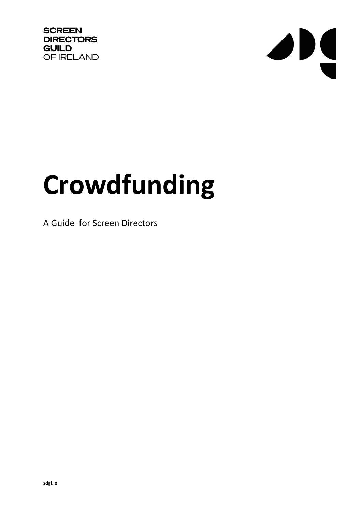**SCREEN DIRECTORS GUILD** OF IRELAND



# **Crowdfunding**

A Guide for Screen Directors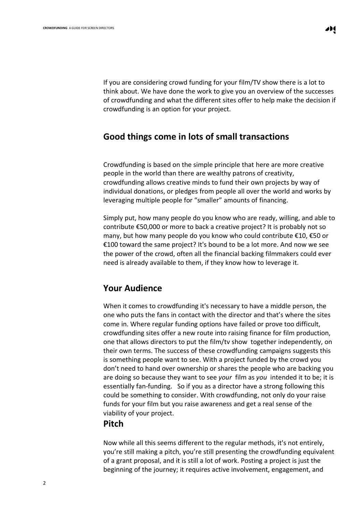If you are considering crowd funding for your film/TV show there is a lot to think about. We have done the work to give you an overview of the successes of crowdfunding and what the different sites offer to help make the decision if

## **Good things come in lots of small transactions**

crowdfunding is an option for your project.

Crowdfunding is based on the simple principle that here are more creative people in the world than there are wealthy patrons of creativity, crowdfunding allows creative minds to fund their own projects by way of individual donations, or pledges from people all over the world and works by leveraging multiple people for "smaller" amounts of financing.

Simply put, how many people do you know who are ready, willing, and able to contribute €50,000 or more to back a creative project? It is probably not so many, but how many people do you know who could contribute €10, €50 or €100 toward the same project? It's bound to be a lot more. And now we see the power of the crowd, often all the financial backing filmmakers could ever need is already available to them, if they know how to leverage it.

### **Your Audience**

When it comes to crowdfunding it's necessary to have a middle person, the one who puts the fans in contact with the director and that's where the sites come in. Where regular funding options have failed or prove too difficult, crowdfunding sites offer a new route into raising finance for film production, one that allows directors to put the film/tv show together independently, on their own terms. The success of these crowdfunding campaigns suggests this is something people want to see. With a project funded by the crowd you don't need to hand over ownership or shares the people who are backing you are doing so because they want to see *your* film as *you* intended it to be; it is essentially fan-funding. So if you as a director have a strong following this could be something to consider. With crowdfunding, not only do your raise funds for your film but you raise awareness and get a real sense of the viability of your project.

#### **Pitch**

Now while all this seems different to the regular methods, it's not entirely, you're still making a pitch, you're still presenting the crowdfunding equivalent of a grant proposal, and it is still a lot of work. Posting a project is just the beginning of the journey; it requires active involvement, engagement, and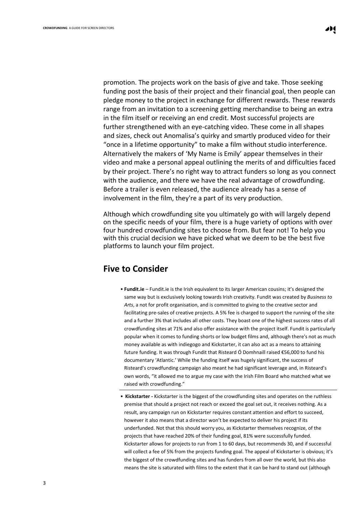promotion. The projects work on the basis of give and take. Those seeking funding post the basis of their project and their financial goal, then people can pledge money to the project in exchange for different rewards. These rewards range from an invitation to a screening getting merchandise to being an extra in the film itself or receiving an end credit. Most successful projects are further strengthened with an eye-catching video. These come in all shapes and sizes, check out [Anomalisa's](http://www.kickstarter.com/projects/anomalisa/charlie-kaufmans-anomalisa/description) quirky and smartly produced video for their "once in a lifetime opportunity" to make a film without studio interference. Alternatively the makers of 'My Name is Emily' appear themselves in [their](http://www.mynameisemilythefilm.com/#!about/mainPage) video and make a personal appeal outlining the merits of and [difficulties](http://www.mynameisemilythefilm.com/#!about/mainPage) faced by their [project.](http://www.mynameisemilythefilm.com/#!about/mainPage) There's no right way to attract funders so long as you connect with the audience, and there we have the real advantage of crowdfunding. Before a trailer is even released, the audience already has a sense of involvement in the film, they're a part of its very production.

Although which crowdfunding site you ultimately go with will largely depend on the specific needs of your film, there is a huge variety of options with over four hundred crowdfunding sites to choose from. But fear not! To help you with this crucial decision we have picked what we deem to be the best five platforms to launch your film project.

### **Five to Consider**

- **Fundit.ie** [Fundit.ie](http://fundit.ie/browse) is the Irish equivalent to its larger American cousins; it's designed the same way but is exclusively looking towards Irish creativity. Fundit was created by *Business to Arts*, a not for profit organisation, and is committed to giving to the creative sector and facilitating pre-sales of creative projects. A 5% fee is charged to support the running of the site and a further 3% that includes all other costs. They boast one of the highest success rates of all crowdfunding sites at 71% and also offer assistance with the project itself. Fundit is particularly popular when it comes to funding shorts or low budget films and, although there's not as much money available as with indiegogo and Kickstarter, it can also act as a means to attaining future funding. It was through Fundit that Risteard Ó Domhnaill raised €56,000 to fund his documentary 'Atlantic.' While the funding itself was hugely significant, the success of Risteard's crowdfunding campaign also meant he had significant leverage and, in Risteard's own words, "it allowed me to argue my case with the Irish Film Board who matched what we raised with crowdfunding."
- **[Kickstarter](http://www.kickstarter.com/) -** Kickstarter is the biggest of the crowdfunding sites and operates on the ruthless premise that should a project not reach or exceed the goal set out, it receives nothing. As a result, any campaign run on Kickstarter requires constant attention and effort to succeed, however it also means that a director won't be expected to deliver his project if its underfunded. Not that this should worry you, as Kickstarter themselves recognize, of the projects that have reached 20% of their funding goal, 81% were successfully funded. Kickstarter allows for projects to run from 1 to 60 days, but recommends 30, and if successful will collect a fee of 5% from the projects funding goal. The appeal of Kickstarter is obvious; it's the biggest of the crowdfunding sites and has funders from all over the world, but this also means the site is saturated with films to the extent that it can be hard to stand out (although